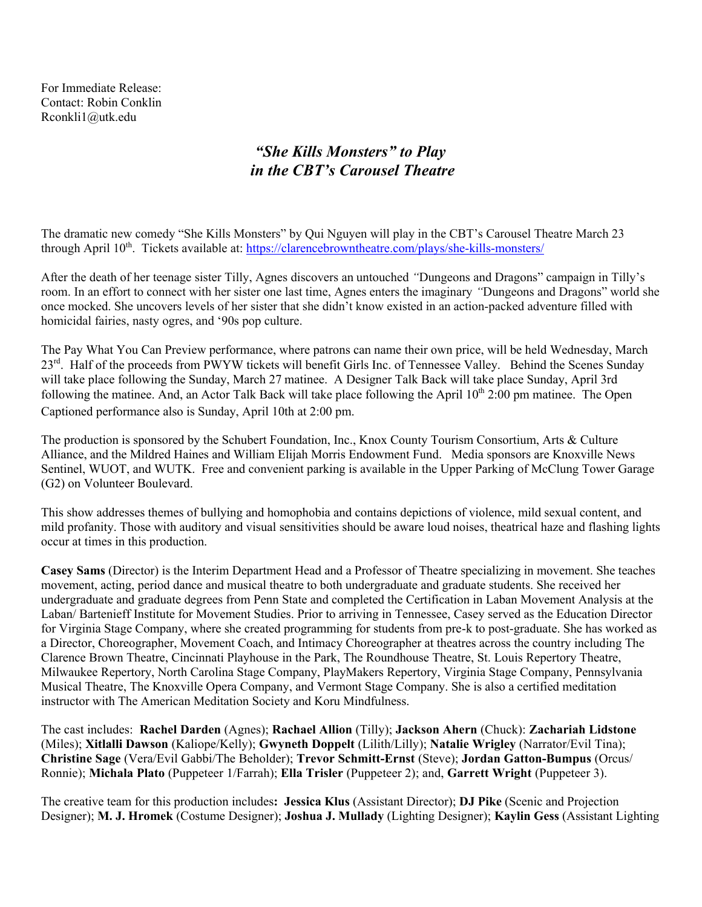For Immediate Release: Contact: Robin Conklin Rconkli1@utk.edu

## *"She Kills Monsters" to Play in the CBT's Carousel Theatre*

The dramatic new comedy "She Kills Monsters" by Qui Nguyen will play in the CBT's Carousel Theatre March 23 through April 10<sup>th</sup>. Tickets available at: https://clarencebrowntheatre.com/plays/she-kills-monsters/

After the death of her teenage sister Tilly, Agnes discovers an untouched *"*Dungeons and Dragons" campaign in Tilly's room. In an effort to connect with her sister one last time, Agnes enters the imaginary *"*Dungeons and Dragons" world she once mocked. She uncovers levels of her sister that she didn't know existed in an action-packed adventure filled with homicidal fairies, nasty ogres, and '90s pop culture.

The Pay What You Can Preview performance, where patrons can name their own price, will be held Wednesday, March 23<sup>rd</sup>. Half of the proceeds from PWYW tickets will benefit Girls Inc. of Tennessee Valley. Behind the Scenes Sunday will take place following the Sunday, March 27 matinee. A Designer Talk Back will take place Sunday, April 3rd following the matinee. And, an Actor Talk Back will take place following the April  $10^{th}$  2:00 pm matinee. The Open Captioned performance also is Sunday, April 10th at 2:00 pm.

The production is sponsored by the Schubert Foundation, Inc., Knox County Tourism Consortium, Arts & Culture Alliance, and the Mildred Haines and William Elijah Morris Endowment Fund. Media sponsors are Knoxville News Sentinel, WUOT, and WUTK. Free and convenient parking is available in the Upper Parking of McClung Tower Garage (G2) on Volunteer Boulevard.

This show addresses themes of bullying and homophobia and contains depictions of violence, mild sexual content, and mild profanity. Those with auditory and visual sensitivities should be aware loud noises, theatrical haze and flashing lights occur at times in this production.

**Casey Sams** (Director) is the Interim Department Head and a Professor of Theatre specializing in movement. She teaches movement, acting, period dance and musical theatre to both undergraduate and graduate students. She received her undergraduate and graduate degrees from Penn State and completed the Certification in Laban Movement Analysis at the Laban/ Bartenieff Institute for Movement Studies. Prior to arriving in Tennessee, Casey served as the Education Director for Virginia Stage Company, where she created programming for students from pre-k to post-graduate. She has worked as a Director, Choreographer, Movement Coach, and Intimacy Choreographer at theatres across the country including The Clarence Brown Theatre, Cincinnati Playhouse in the Park, The Roundhouse Theatre, St. Louis Repertory Theatre, Milwaukee Repertory, North Carolina Stage Company, PlayMakers Repertory, Virginia Stage Company, Pennsylvania Musical Theatre, The Knoxville Opera Company, and Vermont Stage Company. She is also a certified meditation instructor with The American Meditation Society and Koru Mindfulness.

The cast includes: **Rachel Darden** (Agnes); **Rachael Allion** (Tilly); **Jackson Ahern** (Chuck): **Zachariah Lidstone** (Miles); **Xitlalli Dawson** (Kaliope/Kelly); **Gwyneth Doppelt** (Lilith/Lilly); **Natalie Wrigley** (Narrator/Evil Tina); **Christine Sage** (Vera/Evil Gabbi/The Beholder); **Trevor Schmitt-Ernst** (Steve); **Jordan Gatton-Bumpus** (Orcus/ Ronnie); **Michala Plato** (Puppeteer 1/Farrah); **Ella Trisler** (Puppeteer 2); and, **Garrett Wright** (Puppeteer 3).

The creative team for this production includes**: Jessica Klus** (Assistant Director); **DJ Pike** (Scenic and Projection Designer); **M. J. Hromek** (Costume Designer); **Joshua J. Mullady** (Lighting Designer); **Kaylin Gess** (Assistant Lighting